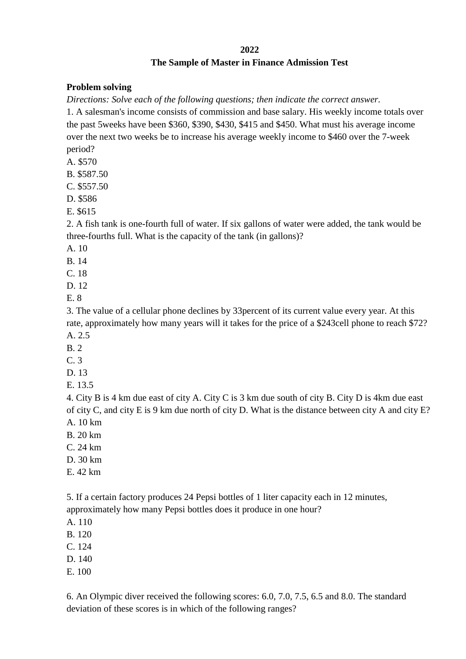## **2022 The Sample of Master in Finance Admission Test**

## **Problem solving**

*Directions: Solve each of the following questions; then indicate the correct answer.*

1. A salesman's income consists of commission and base salary. His weekly income totals over the past 5weeks have been \$360, \$390, \$430, \$415 and \$450. What must his average income over the next two weeks be to increase his average weekly income to \$460 over the 7-week period?

A. \$570

B. \$587.50

C. \$557.50

D. \$586

E. \$615

2. A fish tank is one-fourth full of water. If six gallons of water were added, the tank would be three-fourths full. What is the capacity of the tank (in gallons)?

A. 10

B. 14

C. 18

D. 12

E. 8

3. The value of a cellular phone declines by 33percent of its current value every year. At this rate, approximately how many years will it takes for the price of a \$243cell phone to reach \$72? A. 2.5

B. 2

C. 3

D. 13

E. 13.5

4. City B is 4 km due east of city A. City C is 3 km due south of city B. City D is 4km due east of city C, and city E is 9 km due north of city D. What is the distance between city A and city E? A. 10 km

 $B$  20 km

C. 24 km

- D. 30 km
- E. 42 km

5. If a certain factory produces 24 Pepsi bottles of 1 liter capacity each in 12 minutes, approximately how many Pepsi bottles does it produce in one hour?

A. 110

B. 120

C. 124

D. 140

E. 100

6. An Olympic diver received the following scores: 6.0, 7.0, 7.5, 6.5 and 8.0. The standard deviation of these scores is in which of the following ranges?